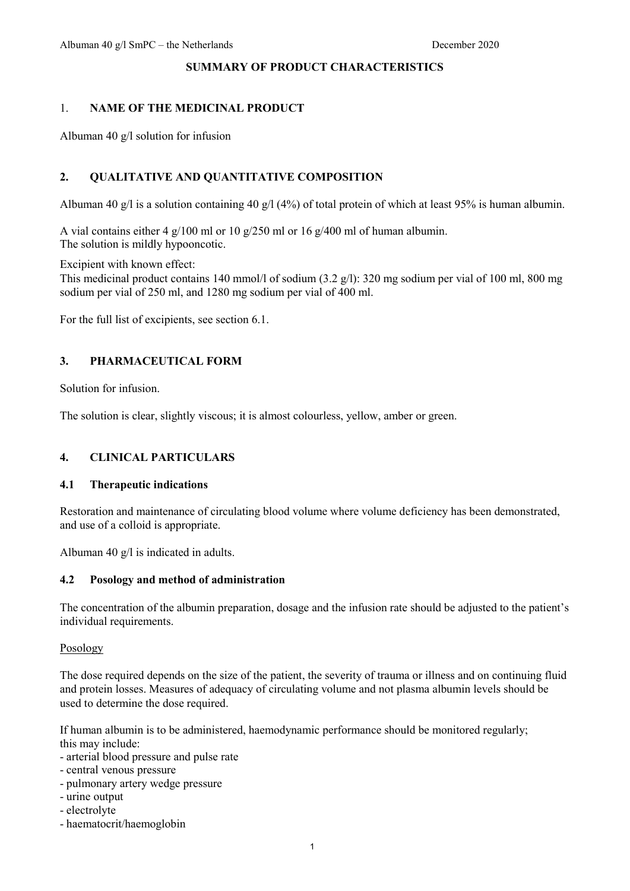#### **SUMMARY OF PRODUCT CHARACTERISTICS**

### 1. **NAME OF THE MEDICINAL PRODUCT**

Albuman 40 g/l solution for infusion

### **2. QUALITATIVE AND QUANTITATIVE COMPOSITION**

Albuman 40 g/l is a solution containing 40 g/l (4%) of total protein of which at least 95% is human albumin.

A vial contains either 4 g/100 ml or 10 g/250 ml or 16 g/400 ml of human albumin. The solution is mildly hypooncotic.

Excipient with known effect:

This medicinal product contains 140 mmol/l of sodium (3.2 g/l): 320 mg sodium per vial of 100 ml, 800 mg sodium per vial of 250 ml, and 1280 mg sodium per vial of 400 ml.

For the full list of excipients, see section 6.1.

### **3. PHARMACEUTICAL FORM**

Solution for infusion.

The solution is clear, slightly viscous; it is almost colourless, yellow, amber or green.

#### **4. CLINICAL PARTICULARS**

#### **4.1 Therapeutic indications**

Restoration and maintenance of circulating blood volume where volume deficiency has been demonstrated, and use of a colloid is appropriate.

Albuman 40 g/l is indicated in adults.

#### **4.2 Posology and method of administration**

The concentration of the albumin preparation, dosage and the infusion rate should be adjusted to the patient's individual requirements.

#### Posology

The dose required depends on the size of the patient, the severity of trauma or illness and on continuing fluid and protein losses. Measures of adequacy of circulating volume and not plasma albumin levels should be used to determine the dose required.

If human albumin is to be administered, haemodynamic performance should be monitored regularly; this may include:

- arterial blood pressure and pulse rate
- central venous pressure
- pulmonary artery wedge pressure
- urine output
- electrolyte
- haematocrit/haemoglobin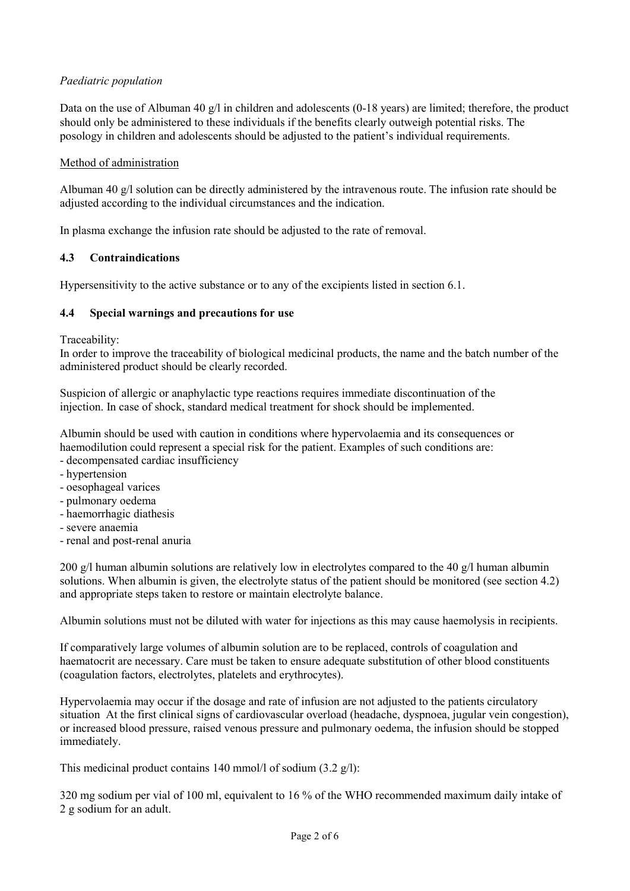# *Paediatric population*

Data on the use of Albuman 40 g/l in children and adolescents (0-18 years) are limited; therefore, the product should only be administered to these individuals if the benefits clearly outweigh potential risks. The posology in children and adolescents should be adjusted to the patient's individual requirements.

### Method of administration

Albuman 40 g/l solution can be directly administered by the intravenous route. The infusion rate should be adjusted according to the individual circumstances and the indication.

In plasma exchange the infusion rate should be adjusted to the rate of removal.

### **4.3 Contraindications**

Hypersensitivity to the active substance or to any of the excipients listed in section 6.1.

### **4.4 Special warnings and precautions for use**

Traceability:

In order to improve the traceability of biological medicinal products, the name and the batch number of the administered product should be clearly recorded.

Suspicion of allergic or anaphylactic type reactions requires immediate discontinuation of the injection. In case of shock, standard medical treatment for shock should be implemented.

Albumin should be used with caution in conditions where hypervolaemia and its consequences or haemodilution could represent a special risk for the patient. Examples of such conditions are:

- decompensated cardiac insufficiency
- hypertension
- oesophageal varices
- pulmonary oedema
- haemorrhagic diathesis
- severe anaemia
- renal and post-renal anuria

200 g/l human albumin solutions are relatively low in electrolytes compared to the 40 g/l human albumin solutions. When albumin is given, the electrolyte status of the patient should be monitored (see section 4.2) and appropriate steps taken to restore or maintain electrolyte balance.

Albumin solutions must not be diluted with water for injections as this may cause haemolysis in recipients.

If comparatively large volumes of albumin solution are to be replaced, controls of coagulation and haematocrit are necessary. Care must be taken to ensure adequate substitution of other blood constituents (coagulation factors, electrolytes, platelets and erythrocytes).

Hypervolaemia may occur if the dosage and rate of infusion are not adjusted to the patients circulatory situation At the first clinical signs of cardiovascular overload (headache, dyspnoea, jugular vein congestion), or increased blood pressure, raised venous pressure and pulmonary oedema, the infusion should be stopped immediately.

This medicinal product contains 140 mmol/l of sodium (3.2 g/l):

320 mg sodium per vial of 100 ml, equivalent to 16 % of the WHO recommended maximum daily intake of 2 g sodium for an adult.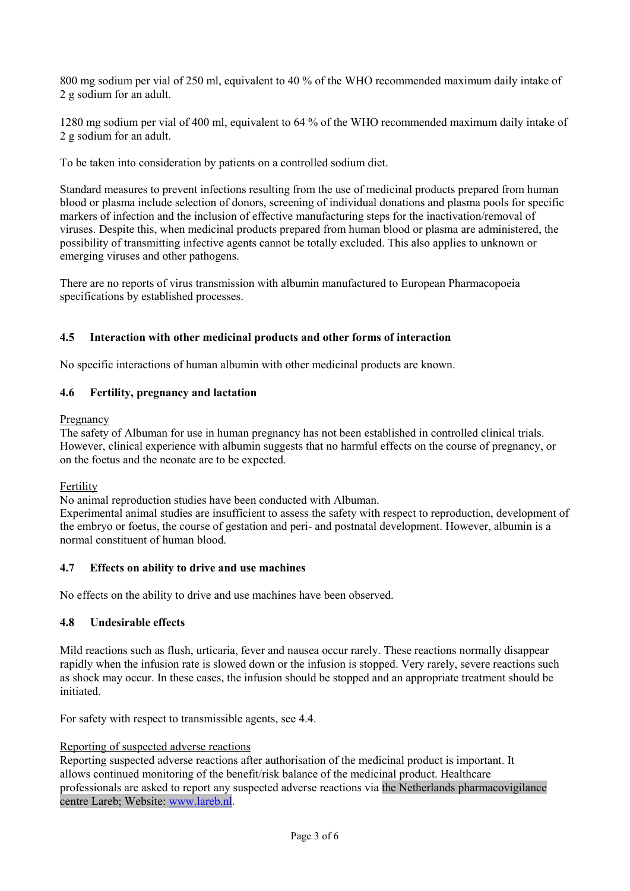800 mg sodium per vial of 250 ml, equivalent to 40 % of the WHO recommended maximum daily intake of 2 g sodium for an adult.

1280 mg sodium per vial of 400 ml, equivalent to 64 % of the WHO recommended maximum daily intake of 2 g sodium for an adult.

To be taken into consideration by patients on a controlled sodium diet.

Standard measures to prevent infections resulting from the use of medicinal products prepared from human blood or plasma include selection of donors, screening of individual donations and plasma pools for specific markers of infection and the inclusion of effective manufacturing steps for the inactivation/removal of viruses. Despite this, when medicinal products prepared from human blood or plasma are administered, the possibility of transmitting infective agents cannot be totally excluded. This also applies to unknown or emerging viruses and other pathogens.

There are no reports of virus transmission with albumin manufactured to European Pharmacopoeia specifications by established processes.

### **4.5 Interaction with other medicinal products and other forms of interaction**

No specific interactions of human albumin with other medicinal products are known.

### **4.6 Fertility, pregnancy and lactation**

#### Pregnancy

The safety of Albuman for use in human pregnancy has not been established in controlled clinical trials. However, clinical experience with albumin suggests that no harmful effects on the course of pregnancy, or on the foetus and the neonate are to be expected.

#### Fertility

No animal reproduction studies have been conducted with Albuman.

Experimental animal studies are insufficient to assess the safety with respect to reproduction, development of the embryo or foetus, the course of gestation and peri- and postnatal development. However, albumin is a normal constituent of human blood.

#### **4.7 Effects on ability to drive and use machines**

No effects on the ability to drive and use machines have been observed.

#### **4.8 Undesirable effects**

Mild reactions such as flush, urticaria, fever and nausea occur rarely. These reactions normally disappear rapidly when the infusion rate is slowed down or the infusion is stopped. Very rarely, severe reactions such as shock may occur. In these cases, the infusion should be stopped and an appropriate treatment should be initiated.

For safety with respect to transmissible agents, see 4.4.

#### Reporting of suspected adverse reactions

Reporting suspected adverse reactions after authorisation of the medicinal product is important. It allows continued monitoring of the benefit/risk balance of the medicinal product. Healthcare professionals are asked to report any suspected adverse reactions via the Netherlands pharmacovigilance centre Lareb; Website: [www.lareb.nl.](http://www.lareb.nl/)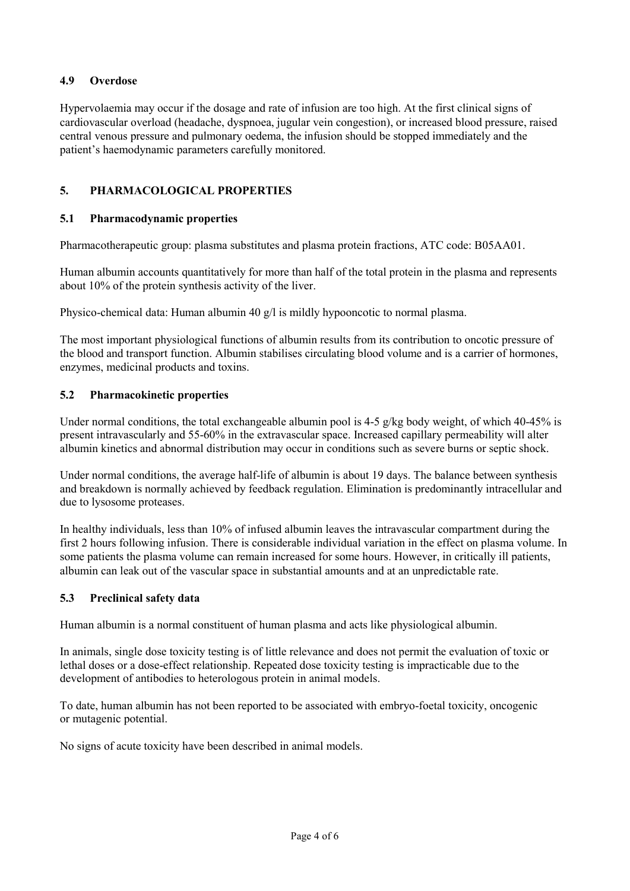## **4.9 Overdose**

Hypervolaemia may occur if the dosage and rate of infusion are too high. At the first clinical signs of cardiovascular overload (headache, dyspnoea, jugular vein congestion), or increased blood pressure, raised central venous pressure and pulmonary oedema, the infusion should be stopped immediately and the patient's haemodynamic parameters carefully monitored.

# **5. PHARMACOLOGICAL PROPERTIES**

## **5.1 Pharmacodynamic properties**

Pharmacotherapeutic group: plasma substitutes and plasma protein fractions, ATC code: B05AA01.

Human albumin accounts quantitatively for more than half of the total protein in the plasma and represents about 10% of the protein synthesis activity of the liver.

Physico-chemical data: Human albumin 40 g/l is mildly hypooncotic to normal plasma.

The most important physiological functions of albumin results from its contribution to oncotic pressure of the blood and transport function. Albumin stabilises circulating blood volume and is a carrier of hormones, enzymes, medicinal products and toxins.

### **5.2 Pharmacokinetic properties**

Under normal conditions, the total exchangeable albumin pool is 4-5 g/kg body weight, of which 40-45% is present intravascularly and 55-60% in the extravascular space. Increased capillary permeability will alter albumin kinetics and abnormal distribution may occur in conditions such as severe burns or septic shock.

Under normal conditions, the average half-life of albumin is about 19 days. The balance between synthesis and breakdown is normally achieved by feedback regulation. Elimination is predominantly intracellular and due to lysosome proteases.

In healthy individuals, less than 10% of infused albumin leaves the intravascular compartment during the first 2 hours following infusion. There is considerable individual variation in the effect on plasma volume. In some patients the plasma volume can remain increased for some hours. However, in critically ill patients, albumin can leak out of the vascular space in substantial amounts and at an unpredictable rate.

## **5.3 Preclinical safety data**

Human albumin is a normal constituent of human plasma and acts like physiological albumin.

In animals, single dose toxicity testing is of little relevance and does not permit the evaluation of toxic or lethal doses or a dose-effect relationship. Repeated dose toxicity testing is impracticable due to the development of antibodies to heterologous protein in animal models.

To date, human albumin has not been reported to be associated with embryo-foetal toxicity, oncogenic or mutagenic potential.

No signs of acute toxicity have been described in animal models.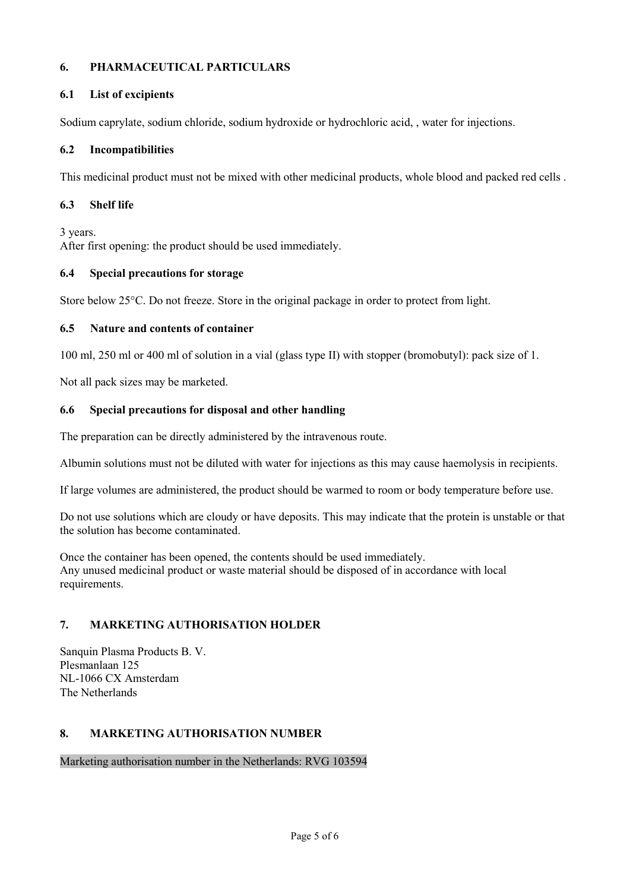# **6. PHARMACEUTICAL PARTICULARS**

## **6.1 List of excipients**

Sodium caprylate, sodium chloride, sodium hydroxide or hydrochloric acid, , water for injections.

# **6.2 Incompatibilities**

This medicinal product must not be mixed with other medicinal products, whole blood and packed red cells .

# **6.3 Shelf life**

3 years.

After first opening: the product should be used immediately.

# **6.4 Special precautions for storage**

Store below 25°C. Do not freeze. Store in the original package in order to protect from light.

# **6.5 Nature and contents of container**

100 ml, 250 ml or 400 ml of solution in a vial (glass type II) with stopper (bromobutyl): pack size of 1.

Not all pack sizes may be marketed.

# **6.6 Special precautions for disposal and other handling**

The preparation can be directly administered by the intravenous route.

Albumin solutions must not be diluted with water for injections as this may cause haemolysis in recipients.

If large volumes are administered, the product should be warmed to room or body temperature before use.

Do not use solutions which are cloudy or have deposits. This may indicate that the protein is unstable or that the solution has become contaminated.

Once the container has been opened, the contents should be used immediately. Any unused medicinal product or waste material should be disposed of in accordance with local requirements.

# **7. MARKETING AUTHORISATION HOLDER**

Sanquin Plasma Products B. V. Plesmanlaan 125 NL-1066 CX Amsterdam The Netherlands

## **8. MARKETING AUTHORISATION NUMBER**

Marketing authorisation number in the Netherlands: RVG 103594